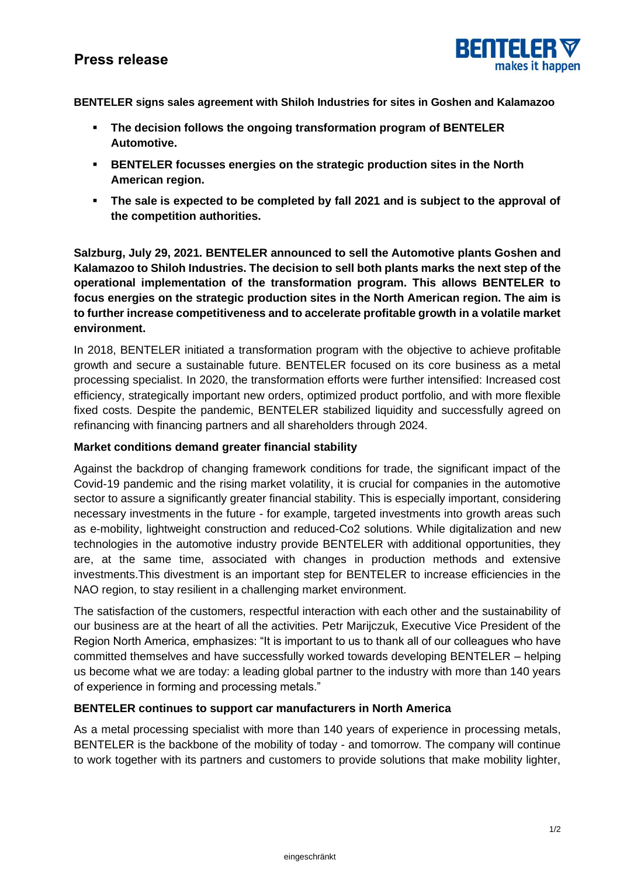# **Press release**



**BENTELER signs sales agreement with Shiloh Industries for sites in Goshen and Kalamazoo**

- **The decision follows the ongoing transformation program of BENTELER Automotive.**
- **BENTELER focusses energies on the strategic production sites in the North American region.**
- **The sale is expected to be completed by fall 2021 and is subject to the approval of the competition authorities.**

**Salzburg, July 29, 2021. BENTELER announced to sell the Automotive plants Goshen and Kalamazoo to Shiloh Industries. The decision to sell both plants marks the next step of the operational implementation of the transformation program. This allows BENTELER to focus energies on the strategic production sites in the North American region. The aim is to further increase competitiveness and to accelerate profitable growth in a volatile market environment.** 

In 2018, BENTELER initiated a transformation program with the objective to achieve profitable growth and secure a sustainable future. BENTELER focused on its core business as a metal processing specialist. In 2020, the transformation efforts were further intensified: Increased cost efficiency, strategically important new orders, optimized product portfolio, and with more flexible fixed costs. Despite the pandemic, BENTELER stabilized liquidity and successfully agreed on refinancing with financing partners and all shareholders through 2024.

## **Market conditions demand greater financial stability**

Against the backdrop of changing framework conditions for trade, the significant impact of the Covid-19 pandemic and the rising market volatility, it is crucial for companies in the automotive sector to assure a significantly greater financial stability. This is especially important, considering necessary investments in the future - for example, targeted investments into growth areas such as e-mobility, lightweight construction and reduced-Co2 solutions. While digitalization and new technologies in the automotive industry provide BENTELER with additional opportunities, they are, at the same time, associated with changes in production methods and extensive investments.This divestment is an important step for BENTELER to increase efficiencies in the NAO region, to stay resilient in a challenging market environment.

The satisfaction of the customers, respectful interaction with each other and the sustainability of our business are at the heart of all the activities. Petr Marijczuk, Executive Vice President of the Region North America, emphasizes: "It is important to us to thank all of our colleagues who have committed themselves and have successfully worked towards developing BENTELER – helping us become what we are today: a leading global partner to the industry with more than 140 years of experience in forming and processing metals."

## **BENTELER continues to support car manufacturers in North America**

As a metal processing specialist with more than 140 years of experience in processing metals, BENTELER is the backbone of the mobility of today - and tomorrow. The company will continue to work together with its partners and customers to provide solutions that make mobility lighter,